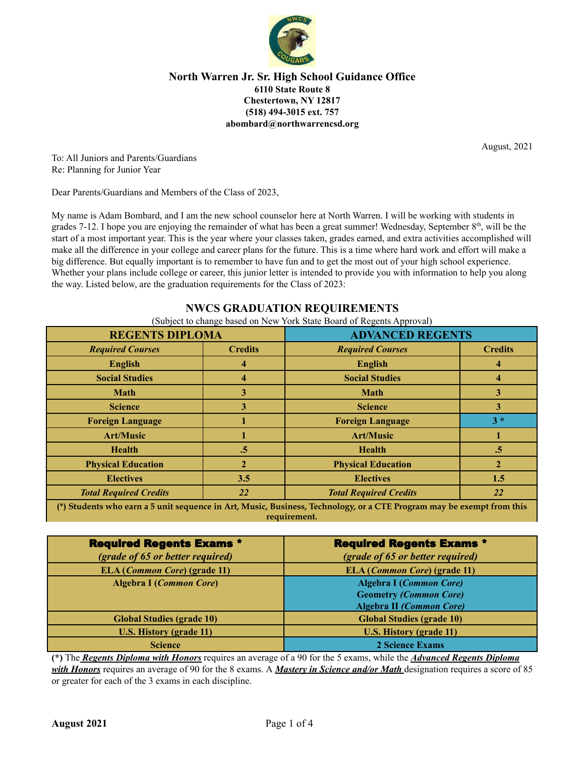

August, 2021

To: All Juniors and Parents/Guardians Re: Planning for Junior Year

Dear Parents/Guardians and Members of the Class of 2023,

My name is Adam Bombard, and I am the new school counselor here at North Warren. I will be working with students in grades 7-12. I hope you are enjoying the remainder of what has been a great summer! Wednesday, September  $8<sup>th</sup>$ , will be the start of a most important year. This is the year where your classes taken, grades earned, and extra activities accomplished will make all the difference in your college and career plans for the future. This is a time where hard work and effort will make a big difference. But equally important is to remember to have fun and to get the most out of your high school experience. Whether your plans include college or career, this junior letter is intended to provide you with information to help you along the way. Listed below, are the graduation requirements for the Class of 2023:

# **NWCS GRADUATION REQUIREMENTS**

(Subject to change based on New York State Board of Regents Approval)

| <b>REGENTS DIPLOMA</b>                                                                                                |                | <b>ADVANCED REGENTS</b>       |                |
|-----------------------------------------------------------------------------------------------------------------------|----------------|-------------------------------|----------------|
| <b>Required Courses</b>                                                                                               | <b>Credits</b> | <b>Required Courses</b>       | <b>Credits</b> |
| <b>English</b>                                                                                                        |                | <b>English</b>                |                |
| <b>Social Studies</b>                                                                                                 |                | <b>Social Studies</b>         |                |
| <b>Math</b>                                                                                                           | 3              | <b>Math</b>                   |                |
| <b>Science</b>                                                                                                        | 3              | <b>Science</b>                | 3              |
| <b>Foreign Language</b>                                                                                               |                | <b>Foreign Language</b>       | $3*$           |
| <b>Art/Music</b>                                                                                                      |                | <b>Art/Music</b>              |                |
| <b>Health</b>                                                                                                         | $.5\,$         | <b>Health</b>                 | .5             |
| <b>Physical Education</b>                                                                                             |                | <b>Physical Education</b>     |                |
| <b>Electives</b>                                                                                                      | 3.5            | <b>Electives</b>              | 1.5            |
| <b>Total Required Credits</b>                                                                                         | 22             | <b>Total Required Credits</b> | <b>22</b>      |
| (*) Students who earn a 5 unit sequence in Art, Music, Business, Technology, or a CTE Program may be exempt from this |                |                               |                |

**requirement.**

| <b>Required Regents Exams *</b>       | <b>Required Regents Exams *</b>                                                                    |  |
|---------------------------------------|----------------------------------------------------------------------------------------------------|--|
| (grade of 65 or better required)      | (grade of 65 or better required)                                                                   |  |
| ELA ( <i>Common Core</i> ) (grade 11) | <b>ELA</b> ( <i>Common Core</i> ) (grade 11)                                                       |  |
| <b>Algebra I (Common Core)</b>        | <b>Algebra I (Common Core)</b><br><b>Geometry (Common Core)</b><br><b>Algebra II (Common Core)</b> |  |
| <b>Global Studies (grade 10)</b>      | <b>Global Studies (grade 10)</b>                                                                   |  |
| <b>U.S. History (grade 11)</b>        | <b>U.S. History (grade 11)</b>                                                                     |  |
| <b>Science</b>                        | 2 Science Exams                                                                                    |  |

**(\*)** The *Regents Diploma with Honors* requires an average of a 90 for the 5 exams, while the *Advanced Regents Diploma with Honors* requires an average of 90 for the 8 exams. A *Mastery in Science and/or Math* designation requires a score of 85 or greater for each of the 3 exams in each discipline.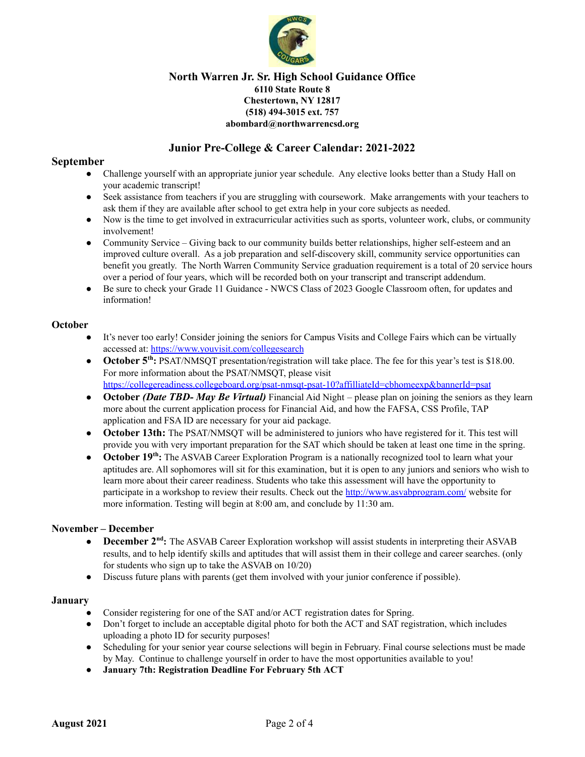

# **Junior Pre-College & Career Calendar: 2021-2022**

# **September**

- Challenge yourself with an appropriate junior year schedule. Any elective looks better than a Study Hall on your academic transcript!
- Seek assistance from teachers if you are struggling with coursework. Make arrangements with your teachers to ask them if they are available after school to get extra help in your core subjects as needed.
- Now is the time to get involved in extracurricular activities such as sports, volunteer work, clubs, or community involvement!
- Community Service Giving back to our community builds better relationships, higher self-esteem and an improved culture overall. As a job preparation and self-discovery skill, community service opportunities can benefit you greatly. The North Warren Community Service graduation requirement is a total of 20 service hours over a period of four years, which will be recorded both on your transcript and transcript addendum.
- Be sure to check your Grade 11 Guidance NWCS Class of 2023 Google Classroom often, for updates and information!

# **October**

- It's never too early! Consider joining the seniors for Campus Visits and College Fairs which can be virtually accessed at: [https://www.youvisit.com/collegesearch](https://www.youvisit.com/collegesearch/)
- **October 5<sup>th</sup>:** PSAT/NMSQT presentation/registration will take place. The fee for this year's test is \$18.00. For more information about the PSAT/NMSQT, please visit <https://collegereadiness.collegeboard.org/psat-nmsqt-psat-10?affilliateId=cbhomeexp&bannerId=psat>
- **October** *(Date TBD- May Be Virtual)* Financial Aid Night please plan on joining the seniors as they learn more about the current application process for Financial Aid, and how the FAFSA, CSS Profile, TAP application and FSA ID are necessary for your aid package.
- **October 13th:** The PSAT/NMSQT will be administered to juniors who have registered for it. This test will provide you with very important preparation for the SAT which should be taken at least one time in the spring.
- **October 19<sup>th</sup>:** The ASVAB Career Exploration Program is a nationally recognized tool to learn what your aptitudes are. All sophomores will sit for this examination, but it is open to any juniors and seniors who wish to learn more about their career readiness. Students who take this assessment will have the opportunity to participate in a workshop to review their results. Check out the <http://www.asvabprogram.com/> website for more information. Testing will begin at 8:00 am, and conclude by 11:30 am.

# **November – December**

- **December 2<sup>nd</sup>:** The ASVAB Career Exploration workshop will assist students in interpreting their ASVAB results, and to help identify skills and aptitudes that will assist them in their college and career searches. (only for students who sign up to take the ASVAB on 10/20)
- Discuss future plans with parents (get them involved with your junior conference if possible).

### **January**

- Consider registering for one of the SAT and/or ACT registration dates for Spring.
- Don't forget to include an acceptable digital photo for both the ACT and SAT registration, which includes uploading a photo ID for security purposes!
- Scheduling for your senior year course selections will begin in February. Final course selections must be made by May. Continue to challenge yourself in order to have the most opportunities available to you!
- **● January 7th: Registration Deadline For February 5th ACT**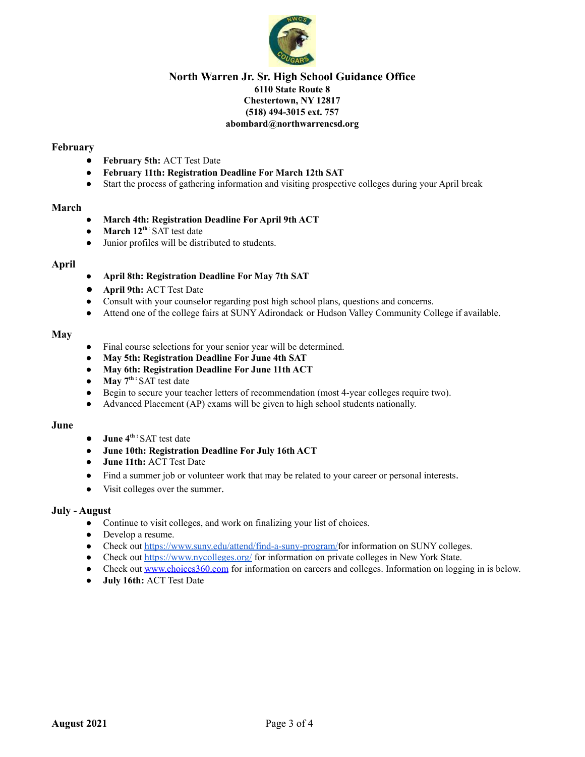

### **February**

- **● February 5th:** ACT Test Date
- **February 11th: Registration Deadline For March 12th SAT**
- **●** Start the process of gathering information and visiting prospective colleges during your April break

### **March**

- **March 4th: Registration Deadline For April 9th ACT**
- **March 12 th** : SAT test date
- Junior profiles will be distributed to students.

### **April**

- **● April 8th: Registration Deadline For May 7th SAT**
- **April 9th:** ACT Test Date
- Consult with your counselor regarding post high school plans, questions and concerns.
- Attend one of the college fairs at SUNY Adirondack or Hudson Valley Community College if available.

### **May**

- Final course selections for your senior year will be determined.
- **May 5th: Registration Deadline For June 4th SAT**
- **May 6th: Registration Deadline For June 11th ACT**
- **May 7 th :** SAT test date
- Begin to secure your teacher letters of recommendation (most 4-year colleges require two).
- Advanced Placement (AP) exams will be given to high school students nationally.

### **June**

- **● June 4 th :** SAT test date
- **June 10th: Registration Deadline For July 16th ACT**
- **● June 11th:** ACT Test Date
- Find a summer job or volunteer work that may be related to your career or personal interests.
- Visit colleges over the summer.

### **July - August**

- Continue to visit colleges, and work on finalizing your list of choices.
- Develop a resume.
- Check out [https://www.suny.edu/attend/find-a-suny-program/f](https://www.suny.edu/attend/find-a-suny-program/)or information on SUNY colleges.
- Check out <https://www.nycolleges.org/> for information on private colleges in New York State.
- Check out [www.choices360.com](http://www.choices360.com) for information on careers and colleges. Information on logging in is below.
- **● July 16th:** ACT Test Date